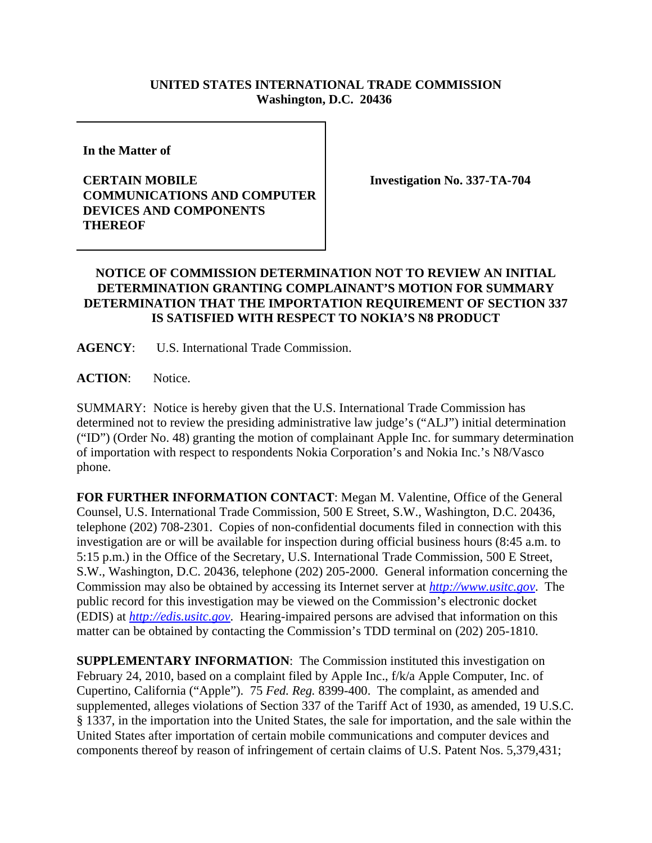## **UNITED STATES INTERNATIONAL TRADE COMMISSION Washington, D.C. 20436**

**In the Matter of** 

## **CERTAIN MOBILE COMMUNICATIONS AND COMPUTER DEVICES AND COMPONENTS THEREOF**

**Investigation No. 337-TA-704**

## **NOTICE OF COMMISSION DETERMINATION NOT TO REVIEW AN INITIAL DETERMINATION GRANTING COMPLAINANT'S MOTION FOR SUMMARY DETERMINATION THAT THE IMPORTATION REQUIREMENT OF SECTION 337 IS SATISFIED WITH RESPECT TO NOKIA'S N8 PRODUCT**

**AGENCY**: U.S. International Trade Commission.

**ACTION**: Notice.

SUMMARY: Notice is hereby given that the U.S. International Trade Commission has determined not to review the presiding administrative law judge's ("ALJ") initial determination ("ID") (Order No. 48) granting the motion of complainant Apple Inc. for summary determination of importation with respect to respondents Nokia Corporation's and Nokia Inc.'s N8/Vasco phone.

**FOR FURTHER INFORMATION CONTACT**: Megan M. Valentine, Office of the General Counsel, U.S. International Trade Commission, 500 E Street, S.W., Washington, D.C. 20436, telephone (202) 708-2301. Copies of non-confidential documents filed in connection with this investigation are or will be available for inspection during official business hours (8:45 a.m. to 5:15 p.m.) in the Office of the Secretary, U.S. International Trade Commission, 500 E Street, S.W., Washington, D.C. 20436, telephone (202) 205-2000. General information concerning the Commission may also be obtained by accessing its Internet server at *http://www.usitc.gov*. The public record for this investigation may be viewed on the Commission's electronic docket (EDIS) at *http://edis.usitc.gov*. Hearing-impaired persons are advised that information on this matter can be obtained by contacting the Commission's TDD terminal on (202) 205-1810.

**SUPPLEMENTARY INFORMATION:** The Commission instituted this investigation on February 24, 2010, based on a complaint filed by Apple Inc., f/k/a Apple Computer, Inc. of Cupertino, California ("Apple"). 75 *Fed. Reg.* 8399-400. The complaint, as amended and supplemented, alleges violations of Section 337 of the Tariff Act of 1930, as amended, 19 U.S.C. § 1337, in the importation into the United States, the sale for importation, and the sale within the United States after importation of certain mobile communications and computer devices and components thereof by reason of infringement of certain claims of U.S. Patent Nos. 5,379,431;